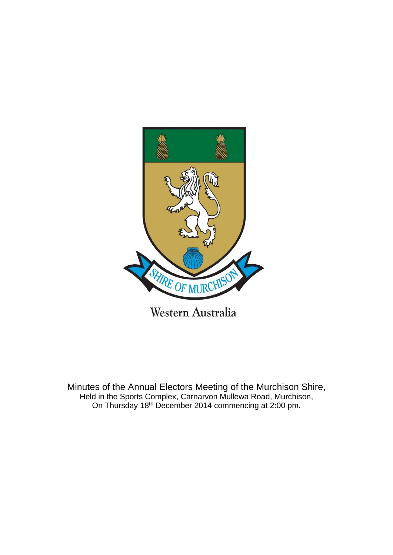

Minutes of the Annual Electors Meeting of the Murchison Shire, Held in the Sports Complex, Carnarvon Mullewa Road, Murchison, On Thursday 18<sup>th</sup> December 2014 commencing at 2:00 pm.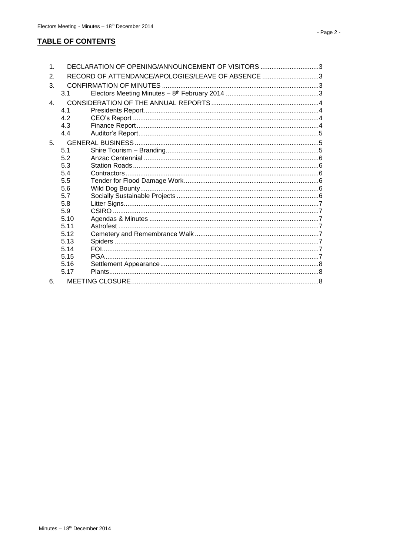# **TABLE OF CONTENTS**

| 3.   |                                                                               |                                                                                                        |  |  |
|------|-------------------------------------------------------------------------------|--------------------------------------------------------------------------------------------------------|--|--|
| 3.1  |                                                                               |                                                                                                        |  |  |
|      |                                                                               |                                                                                                        |  |  |
| 4.1  |                                                                               |                                                                                                        |  |  |
| 4.2  |                                                                               |                                                                                                        |  |  |
| 4.3  |                                                                               |                                                                                                        |  |  |
| 4.4  |                                                                               |                                                                                                        |  |  |
| 5.   |                                                                               |                                                                                                        |  |  |
| 5.1  |                                                                               |                                                                                                        |  |  |
| 5.2  |                                                                               |                                                                                                        |  |  |
|      |                                                                               |                                                                                                        |  |  |
|      |                                                                               |                                                                                                        |  |  |
|      |                                                                               |                                                                                                        |  |  |
|      |                                                                               |                                                                                                        |  |  |
|      |                                                                               |                                                                                                        |  |  |
|      |                                                                               |                                                                                                        |  |  |
|      |                                                                               |                                                                                                        |  |  |
|      |                                                                               |                                                                                                        |  |  |
|      |                                                                               |                                                                                                        |  |  |
|      |                                                                               |                                                                                                        |  |  |
| 5.14 |                                                                               |                                                                                                        |  |  |
| 5.15 |                                                                               |                                                                                                        |  |  |
| 5.16 |                                                                               |                                                                                                        |  |  |
| 5.17 |                                                                               |                                                                                                        |  |  |
| 6.   |                                                                               |                                                                                                        |  |  |
|      | 5.3<br>5.4<br>5.5<br>5.6<br>5.7<br>5.8<br>5.9<br>5.10<br>5.11<br>5.12<br>5.13 | DECLARATION OF OPENING/ANNOUNCEMENT OF VISITORS 3<br>RECORD OF ATTENDANCE/APOLOGIES/LEAVE OF ABSENCE 3 |  |  |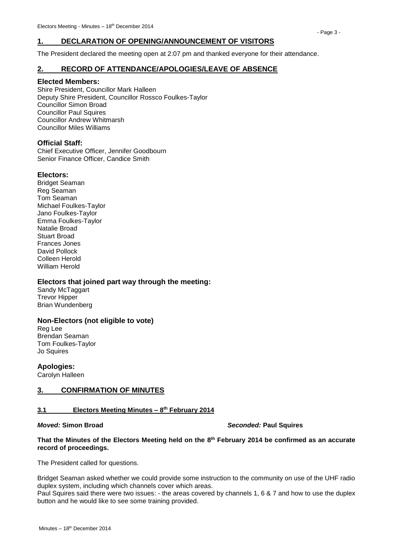<span id="page-2-0"></span>The President declared the meeting open at 2:07 pm and thanked everyone for their attendance.

# <span id="page-2-1"></span>**2. RECORD OF ATTENDANCE/APOLOGIES/LEAVE OF ABSENCE**

#### **Elected Members:**

Shire President, Councillor Mark Halleen Deputy Shire President, Councillor Rossco Foulkes-Taylor Councillor Simon Broad Councillor Paul Squires Councillor Andrew Whitmarsh Councillor Miles Williams

# **Official Staff:**

Chief Executive Officer, Jennifer Goodbourn Senior Finance Officer, Candice Smith

# **Electors:**

Bridget Seaman Reg Seaman Tom Seaman Michael Foulkes-Taylor Jano Foulkes-Taylor Emma Foulkes-Taylor Natalie Broad Stuart Broad Frances Jones David Pollock Colleen Herold William Herold

## **Electors that joined part way through the meeting:**

Sandy McTaggart Trevor Hipper Brian Wundenberg

## **Non-Electors (not eligible to vote)**

Reg Lee Brendan Seaman Tom Foulkes-Taylor Jo Squires

**Apologies:**

Carolyn Halleen

# <span id="page-2-2"></span>**3. CONFIRMATION OF MINUTES**

## <span id="page-2-3"></span>**3.1 Electors Meeting Minutes – 8 th February 2014**

*Moved:* **Simon Broad** *Seconded:* **Paul Squires**

#### **That the Minutes of the Electors Meeting held on the 8 th February 2014 be confirmed as an accurate record of proceedings.**

The President called for questions.

Bridget Seaman asked whether we could provide some instruction to the community on use of the UHF radio duplex system, including which channels cover which areas.

Paul Squires said there were two issues: - the areas covered by channels 1, 6 & 7 and how to use the duplex button and he would like to see some training provided.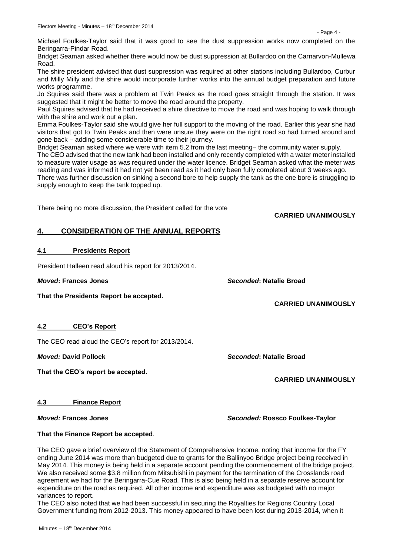Michael Foulkes-Taylor said that it was good to see the dust suppression works now completed on the Beringarra-Pindar Road.

Bridget Seaman asked whether there would now be dust suppression at Bullardoo on the Carnarvon-Mullewa Road.

The shire president advised that dust suppression was required at other stations including Bullardoo, Curbur and Milly Milly and the shire would incorporate further works into the annual budget preparation and future works programme.

Jo Squires said there was a problem at Twin Peaks as the road goes straight through the station. It was suggested that it might be better to move the road around the property.

Paul Squires advised that he had received a shire directive to move the road and was hoping to walk through with the shire and work out a plan.

Emma Foulkes-Taylor said she would give her full support to the moving of the road. Earlier this year she had visitors that got to Twin Peaks and then were unsure they were on the right road so had turned around and gone back – adding some considerable time to their journey.

Bridget Seaman asked where we were with item 5.2 from the last meeting– the community water supply.

The CEO advised that the new tank had been installed and only recently completed with a water meter installed to measure water usage as was required under the water licence. Bridget Seaman asked what the meter was reading and was informed it had not yet been read as it had only been fully completed about 3 weeks ago.

There was further discussion on sinking a second bore to help supply the tank as the one bore is struggling to supply enough to keep the tank topped up.

There being no more discussion, the President called for the vote

**CARRIED UNANIMOUSLY**

# <span id="page-3-0"></span>**4. CONSIDERATION OF THE ANNUAL REPORTS**

#### <span id="page-3-1"></span>**4.1 Presidents Report**

President Halleen read aloud his report for 2013/2014.

#### *Moved***: Frances Jones** *Seconded***: Natalie Broad**

**That the Presidents Report be accepted.**

**CARRIED UNANIMOUSLY**

## <span id="page-3-2"></span>**4.2 CEO's Report**

The CEO read aloud the CEO's report for 2013/2014.

*Moved:* **David Pollock** *Seconded***: Natalie Broad**

**That the CEO's report be accepted.**

**CARRIED UNANIMOUSLY**

## <span id="page-3-3"></span>**4.3 Finance Report**

*Moved:* **Frances Jones** *Seconded:* **Rossco Foulkes-Taylor**

#### **That the Finance Report be accepted**.

The CEO gave a brief overview of the Statement of Comprehensive Income, noting that income for the FY ending June 2014 was more than budgeted due to grants for the Ballinyoo Bridge project being received in May 2014. This money is being held in a separate account pending the commencement of the bridge project. We also received some \$3.8 million from Mitsubishi in payment for the termination of the Crosslands road agreement we had for the Beringarra-Cue Road. This is also being held in a separate reserve account for expenditure on the road as required. All other income and expenditure was as budgeted with no major variances to report.

The CEO also noted that we had been successful in securing the Royalties for Regions Country Local Government funding from 2012-2013. This money appeared to have been lost during 2013-2014, when it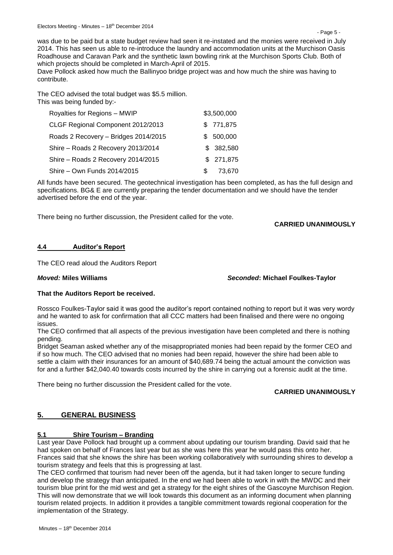was due to be paid but a state budget review had seen it re-instated and the monies were received in July 2014. This has seen us able to re-introduce the laundry and accommodation units at the Murchison Oasis Roadhouse and Caravan Park and the synthetic lawn bowling rink at the Murchison Sports Club. Both of which projects should be completed in March-April of 2015.

Dave Pollock asked how much the Ballinyoo bridge project was and how much the shire was having to contribute.

The CEO advised the total budget was \$5.5 million. This was being funded by:-

| Royalties for Regions - MWIP         |   | \$3,500,000 |
|--------------------------------------|---|-------------|
| CLGF Regional Component 2012/2013    |   | \$771,875   |
| Roads 2 Recovery - Bridges 2014/2015 |   | \$500,000   |
| Shire - Roads 2 Recovery 2013/2014   |   | \$382,580   |
| Shire - Roads 2 Recovery 2014/2015   |   | \$271,875   |
| Shire - Own Funds 2014/2015          | S | 73,670      |

All funds have been secured. The geotechnical investigation has been completed, as has the full design and specifications. BG& E are currently preparing the tender documentation and we should have the tender advertised before the end of the year.

There being no further discussion, the President called for the vote.

#### **CARRIED UNANIMOUSLY**

## <span id="page-4-0"></span>**4.4 Auditor's Report**

The CEO read aloud the Auditors Report

#### *Moved:* **Miles Williams** *Seconded***: Michael Foulkes-Taylor**

#### **That the Auditors Report be received.**

Rossco Foulkes-Taylor said it was good the auditor's report contained nothing to report but it was very wordy and he wanted to ask for confirmation that all CCC matters had been finalised and there were no ongoing issues.

The CEO confirmed that all aspects of the previous investigation have been completed and there is nothing pending.

Bridget Seaman asked whether any of the misappropriated monies had been repaid by the former CEO and if so how much. The CEO advised that no monies had been repaid, however the shire had been able to settle a claim with their insurances for an amount of \$40,689.74 being the actual amount the conviction was for and a further \$42,040.40 towards costs incurred by the shire in carrying out a forensic audit at the time.

There being no further discussion the President called for the vote.

## **CARRIED UNANIMOUSLY**

# <span id="page-4-1"></span>**5. GENERAL BUSINESS**

## <span id="page-4-2"></span>**5.1 Shire Tourism – Branding**

Last year Dave Pollock had brought up a comment about updating our tourism branding. David said that he had spoken on behalf of Frances last year but as she was here this year he would pass this onto her. Frances said that she knows the shire has been working collaboratively with surrounding shires to develop a tourism strategy and feels that this is progressing at last.

The CEO confirmed that tourism had never been off the agenda, but it had taken longer to secure funding and develop the strategy than anticipated. In the end we had been able to work in with the MWDC and their tourism blue print for the mid west and get a strategy for the eight shires of the Gascoyne Murchison Region. This will now demonstrate that we will look towards this document as an informing document when planning tourism related projects. In addition it provides a tangible commitment towards regional cooperation for the implementation of the Strategy.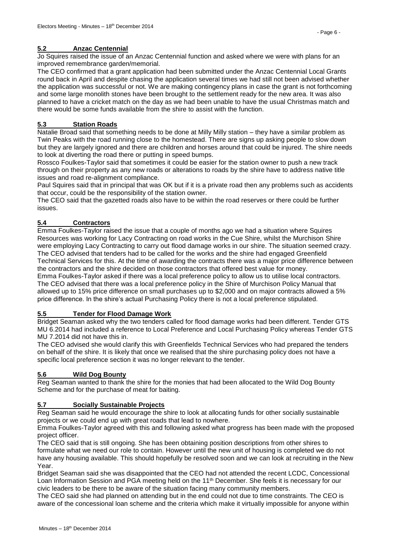<span id="page-5-0"></span>Jo Squires raised the issue of an Anzac Centennial function and asked where we were with plans for an improved remembrance garden/memorial.

The CEO confirmed that a grant application had been submitted under the Anzac Centennial Local Grants round back in April and despite chasing the application several times we had still not been advised whether the application was successful or not. We are making contingency plans in case the grant is not forthcoming and some large monolith stones have been brought to the settlement ready for the new area. It was also planned to have a cricket match on the day as we had been unable to have the usual Christmas match and there would be some funds available from the shire to assist with the function.

# <span id="page-5-1"></span>**5.3 Station Roads**

Natalie Broad said that something needs to be done at Milly Milly station – they have a similar problem as Twin Peaks with the road running close to the homestead. There are signs up asking people to slow down but they are largely ignored and there are children and horses around that could be injured. The shire needs to look at diverting the road there or putting in speed bumps.

Rossco Foulkes-Taylor said that sometimes it could be easier for the station owner to push a new track through on their property as any new roads or alterations to roads by the shire have to address native title issues and road re-alignment compliance.

Paul Squires said that in principal that was OK but if it is a private road then any problems such as accidents that occur, could be the responsibility of the station owner.

The CEO said that the gazetted roads also have to be within the road reserves or there could be further issues.

# <span id="page-5-2"></span>**5.4 Contractors**

Emma Foulkes-Taylor raised the issue that a couple of months ago we had a situation where Squires Resources was working for Lacy Contracting on road works in the Cue Shire, whilst the Murchison Shire were employing Lacy Contracting to carry out flood damage works in our shire. The situation seemed crazy. The CEO advised that tenders had to be called for the works and the shire had engaged Greenfield Technical Services for this. At the time of awarding the contracts there was a major price difference between the contractors and the shire decided on those contractors that offered best value for money.

Emma Foulkes-Taylor asked if there was a local preference policy to allow us to utilise local contractors. The CEO advised that there was a local preference policy in the Shire of Murchison Policy Manual that allowed up to 15% price difference on small purchases up to \$2,000 and on major contracts allowed a 5% price difference. In the shire's actual Purchasing Policy there is not a local preference stipulated.

# <span id="page-5-3"></span>**5.5 Tender for Flood Damage Work**

Bridget Seaman asked why the two tenders called for flood damage works had been different. Tender GTS MU 6.2014 had included a reference to Local Preference and Local Purchasing Policy whereas Tender GTS MU 7.2014 did not have this in.

The CEO advised she would clarify this with Greenfields Technical Services who had prepared the tenders on behalf of the shire. It is likely that once we realised that the shire purchasing policy does not have a specific local preference section it was no longer relevant to the tender.

# <span id="page-5-4"></span>**5.6 Wild Dog Bounty**

Reg Seaman wanted to thank the shire for the monies that had been allocated to the Wild Dog Bounty Scheme and for the purchase of meat for baiting.

# <span id="page-5-5"></span>**5.7 Socially Sustainable Projects**

Reg Seaman said he would encourage the shire to look at allocating funds for other socially sustainable projects or we could end up with great roads that lead to nowhere.

Emma Foulkes-Taylor agreed with this and following asked what progress has been made with the proposed project officer.

The CEO said that is still ongoing. She has been obtaining position descriptions from other shires to formulate what we need our role to contain. However until the new unit of housing is completed we do not have any housing available. This should hopefully be resolved soon and we can look at recruiting in the New Year.

Bridget Seaman said she was disappointed that the CEO had not attended the recent LCDC, Concessional Loan Information Session and PGA meeting held on the 11<sup>th</sup> December. She feels it is necessary for our civic leaders to be there to be aware of the situation facing many community members.

The CEO said she had planned on attending but in the end could not due to time constraints. The CEO is aware of the concessional loan scheme and the criteria which make it virtually impossible for anyone within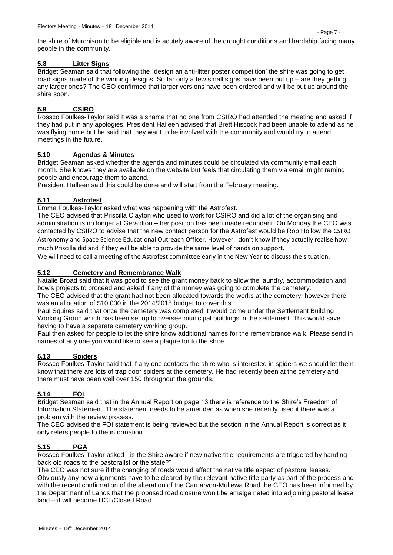the shire of Murchison to be eligible and is acutely aware of the drought conditions and hardship facing many people in the community.

## <span id="page-6-0"></span>**5.8 Litter Signs**

Bridget Seaman said that following the `design an anti-litter poster competition' the shire was going to get road signs made of the winning designs. So far only a few small signs have been put up – are they getting any larger ones? The CEO confirmed that larger versions have been ordered and will be put up around the shire soon.

## <span id="page-6-1"></span>**5.9 CSIRO**

Rossco Foulkes-Taylor said it was a shame that no one from CSIRO had attended the meeting and asked if they had put in any apologies. President Halleen advised that Brett Hiscock had been unable to attend as he was flying home but he said that they want to be involved with the community and would try to attend meetings in the future.

# <span id="page-6-2"></span>**5.10 Agendas & Minutes**

Bridget Seaman asked whether the agenda and minutes could be circulated via community email each month. She knows they are available on the website but feels that circulating them via email might remind people and encourage them to attend.

President Halleen said this could be done and will start from the February meeting.

# <span id="page-6-3"></span>**5.11 Astrofest**

Emma Foulkes-Taylor asked what was happening with the Astrofest.

The CEO advised that Priscilla Clayton who used to work for CSIRO and did a lot of the organising and administration is no longer at Geraldton – her position has been made redundant. On Monday the CEO was contacted by CSIRO to advise that the new contact person for the Astrofest would be Rob Hollow the CSIRO Astronomy and Space Science Educational Outreach Officer. However I don't know if they actually realise how much Priscilla did and if they will be able to provide the same level of hands on support.

We will need to call a meeting of the Astrofest committee early in the New Year to discuss the situation.

# <span id="page-6-4"></span>**5.12 Cemetery and Remembrance Walk**

Natalie Broad said that it was good to see the grant money back to allow the laundry, accommodation and bowls projects to proceed and asked if any of the money was going to complete the cemetery.

The CEO advised that the grant had not been allocated towards the works at the cemetery, however there was an allocation of \$10,000 in the 2014/2015 budget to cover this.

Paul Squires said that once the cemetery was completed it would come under the Settlement Building Working Group which has been set up to oversee municipal buildings in the settlement. This would save having to have a separate cemetery working group.

Paul then asked for people to let the shire know additional names for the remembrance walk. Please send in names of any one you would like to see a plaque for to the shire.

# <span id="page-6-5"></span>**5.13 Spiders**

Rossco Foulkes-Taylor said that if any one contacts the shire who is interested in spiders we should let them know that there are lots of trap door spiders at the cemetery. He had recently been at the cemetery and there must have been well over 150 throughout the grounds.

## <span id="page-6-6"></span> $5.14$

Bridget Seaman said that in the Annual Report on page 13 there is reference to the Shire's Freedom of Information Statement. The statement needs to be amended as when she recently used it there was a problem with the review process.

The CEO advised the FOI statement is being reviewed but the section in the Annual Report is correct as it only refers people to the information.

## <span id="page-6-7"></span>**5.15 PGA**

Rossco Foulkes-Taylor asked - is the Shire aware if new native title requirements are triggered by handing back old roads to the pastoralist or the state?"

The CEO was not sure if the changing of roads would affect the native title aspect of pastoral leases. Obviously any new alignments have to be cleared by the relevant native title party as part of the process and with the recent confirmation of the alteration of the Carnarvon-Mullewa Road the CEO has been informed by the Department of Lands that the proposed road closure won't be amalgamated into adjoining pastoral lease land – it will become UCL/Closed Road.